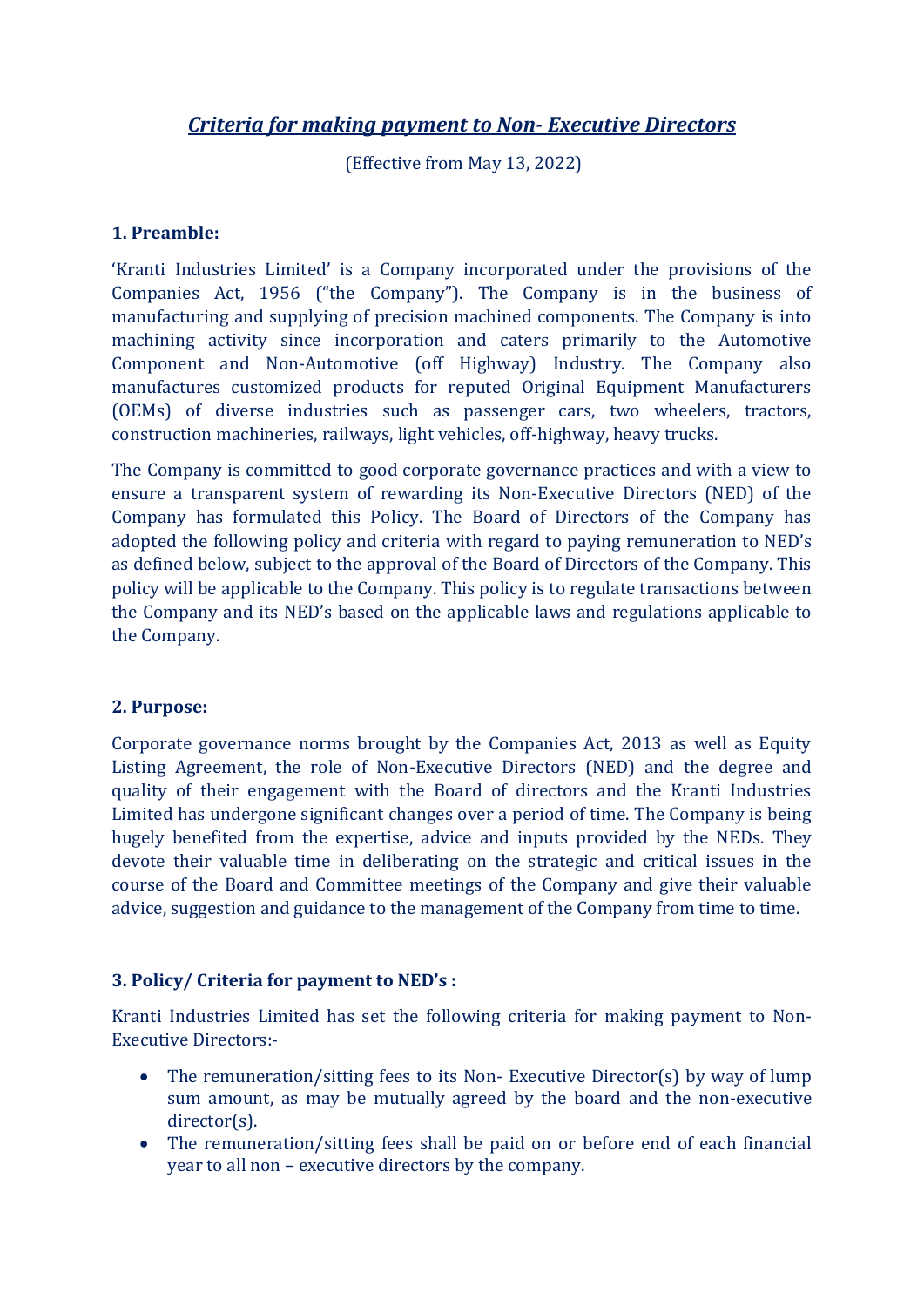# *Criteria for making payment to Non- Executive Directors*

(Effective from May 13, 2022)

### **1. Preamble:**

'Kranti Industries Limited' is a Company incorporated under the provisions of the Companies Act, 1956 ("the Company"). The Company is in the business of manufacturing and supplying of precision machined components. The Company is into machining activity since incorporation and caters primarily to the Automotive Component and Non-Automotive (off Highway) Industry. The Company also manufactures customized products for reputed Original Equipment Manufacturers (OEMs) of diverse industries such as passenger cars, two wheelers, tractors, construction machineries, railways, light vehicles, off-highway, heavy trucks.

The Company is committed to good corporate governance practices and with a view to ensure a transparent system of rewarding its Non-Executive Directors (NED) of the Company has formulated this Policy. The Board of Directors of the Company has adopted the following policy and criteria with regard to paying remuneration to NED's as defined below, subject to the approval of the Board of Directors of the Company. This policy will be applicable to the Company. This policy is to regulate transactions between the Company and its NED's based on the applicable laws and regulations applicable to the Company.

#### **2. Purpose:**

Corporate governance norms brought by the Companies Act, 2013 as well as Equity Listing Agreement, the role of Non-Executive Directors (NED) and the degree and quality of their engagement with the Board of directors and the Kranti Industries Limited has undergone significant changes over a period of time. The Company is being hugely benefited from the expertise, advice and inputs provided by the NEDs. They devote their valuable time in deliberating on the strategic and critical issues in the course of the Board and Committee meetings of the Company and give their valuable advice, suggestion and guidance to the management of the Company from time to time.

#### **3. Policy/ Criteria for payment to NED's :**

Kranti Industries Limited has set the following criteria for making payment to Non-Executive Directors:-

- The remuneration/sitting fees to its Non-Executive Director(s) by way of lump sum amount, as may be mutually agreed by the board and the non-executive director(s).
- The remuneration/sitting fees shall be paid on or before end of each financial year to all non – executive directors by the company.